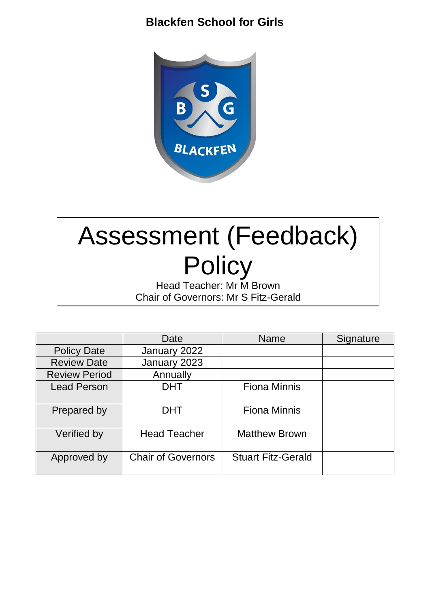## **Blackfen School for Girls**



# Assessment (Feedback) **Policy**

Head Teacher: Mr M Brown Chair of Governors: Mr S Fitz-Gerald

|                      | Date                      | <b>Name</b>               | Signature |
|----------------------|---------------------------|---------------------------|-----------|
| <b>Policy Date</b>   | January 2022              |                           |           |
| <b>Review Date</b>   | January 2023              |                           |           |
| <b>Review Period</b> | Annually                  |                           |           |
| <b>Lead Person</b>   | <b>DHT</b>                | <b>Fiona Minnis</b>       |           |
| Prepared by          | <b>DHT</b>                | <b>Fiona Minnis</b>       |           |
| Verified by          | <b>Head Teacher</b>       | <b>Matthew Brown</b>      |           |
| Approved by          | <b>Chair of Governors</b> | <b>Stuart Fitz-Gerald</b> |           |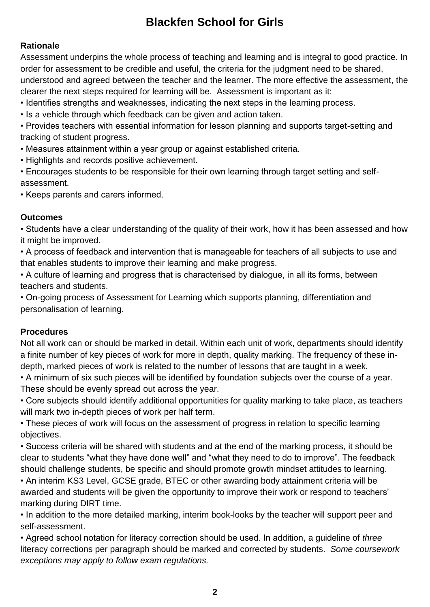# **Blackfen School for Girls**

## **Rationale**

Assessment underpins the whole process of teaching and learning and is integral to good practice. In order for assessment to be credible and useful, the criteria for the judgment need to be shared, understood and agreed between the teacher and the learner. The more effective the assessment, the clearer the next steps required for learning will be. Assessment is important as it:

- Identifies strengths and weaknesses, indicating the next steps in the learning process.
- Is a vehicle through which feedback can be given and action taken.

• Provides teachers with essential information for lesson planning and supports target-setting and tracking of student progress.

• Measures attainment within a year group or against established criteria.

• Highlights and records positive achievement.

• Encourages students to be responsible for their own learning through target setting and selfassessment.

• Keeps parents and carers informed.

## **Outcomes**

• Students have a clear understanding of the quality of their work, how it has been assessed and how it might be improved.

• A process of feedback and intervention that is manageable for teachers of all subjects to use and that enables students to improve their learning and make progress.

• A culture of learning and progress that is characterised by dialogue, in all its forms, between teachers and students.

• On-going process of Assessment for Learning which supports planning, differentiation and personalisation of learning.

## **Procedures**

Not all work can or should be marked in detail. Within each unit of work, departments should identify a finite number of key pieces of work for more in depth, quality marking. The frequency of these indepth, marked pieces of work is related to the number of lessons that are taught in a week.

• A minimum of six such pieces will be identified by foundation subjects over the course of a year. These should be evenly spread out across the year.

• Core subjects should identify additional opportunities for quality marking to take place, as teachers will mark two in-depth pieces of work per half term.

• These pieces of work will focus on the assessment of progress in relation to specific learning objectives.

• Success criteria will be shared with students and at the end of the marking process, it should be clear to students "what they have done well" and "what they need to do to improve". The feedback should challenge students, be specific and should promote growth mindset attitudes to learning.

• An interim KS3 Level, GCSE grade, BTEC or other awarding body attainment criteria will be awarded and students will be given the opportunity to improve their work or respond to teachers' marking during DIRT time.

• In addition to the more detailed marking, interim book-looks by the teacher will support peer and self-assessment.

• Agreed school notation for literacy correction should be used. In addition, a guideline of *three* literacy corrections per paragraph should be marked and corrected by students. *Some coursework exceptions may apply to follow exam regulations.*